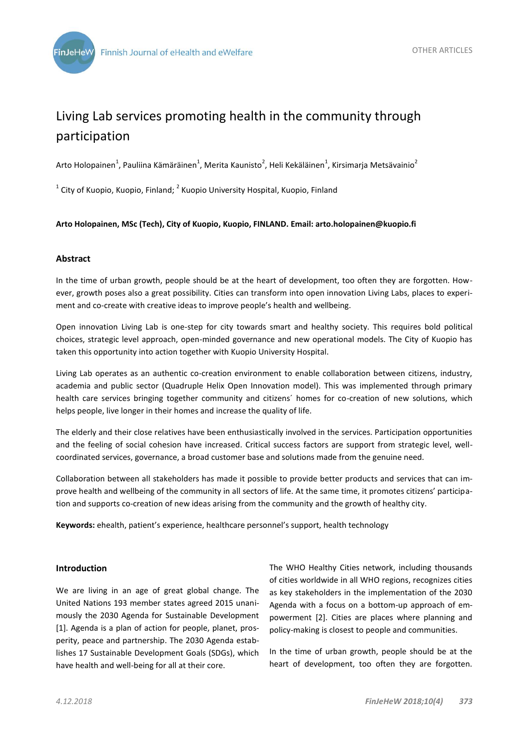

# Living Lab services promoting health in the community through participation

Arto Holopainen<sup>1</sup>, Pauliina Kämäräinen<sup>1</sup>, Merita Kaunisto<sup>2</sup>, Heli Kekäläinen<sup>1</sup>, Kirsimarja Metsävainio<sup>2</sup>

 $^{1}$  City of Kuopio, Kuopio, Finland;  $^{2}$  Kuopio University Hospital, Kuopio, Finland

### **Arto Holopainen, MSc (Tech), City of Kuopio, Kuopio, FINLAND. Email: arto.holopainen@kuopio.fi**

### **Abstract**

In the time of urban growth, people should be at the heart of development, too often they are forgotten. However, growth poses also a great possibility. Cities can transform into open innovation Living Labs, places to experiment and co-create with creative ideas to improve people's health and wellbeing.

Open innovation Living Lab is one-step for city towards smart and healthy society. This requires bold political choices, strategic level approach, open-minded governance and new operational models. The City of Kuopio has taken this opportunity into action together with Kuopio University Hospital.

Living Lab operates as an authentic co-creation environment to enable collaboration between citizens, industry, academia and public sector (Quadruple Helix Open Innovation model). This was implemented through primary health care services bringing together community and citizens´ homes for co-creation of new solutions, which helps people, live longer in their homes and increase the quality of life.

The elderly and their close relatives have been enthusiastically involved in the services. Participation opportunities and the feeling of social cohesion have increased. Critical success factors are support from strategic level, wellcoordinated services, governance, a broad customer base and solutions made from the genuine need.

Collaboration between all stakeholders has made it possible to provide better products and services that can improve health and wellbeing of the community in all sectors of life. At the same time, it promotes citizens' participation and supports co-creation of new ideas arising from the community and the growth of healthy city.

**Keywords:** ehealth, patient's experience, healthcare personnel's support, health technology

#### **Introduction**

We are living in an age of great global change. The United Nations 193 member states agreed 2015 unanimously the 2030 Agenda for Sustainable Development [1]. Agenda is a plan of action for people, planet, prosperity, peace and partnership. The 2030 Agenda establishes 17 Sustainable Development Goals (SDGs), which have health and well-being for all at their core.

The WHO Healthy Cities network, including thousands of cities worldwide in all WHO regions, recognizes cities as key stakeholders in the implementation of the 2030 Agenda with a focus on a bottom-up approach of empowerment [2]. Cities are places where planning and policy-making is closest to people and communities.

In the time of urban growth, people should be at the heart of development, too often they are forgotten.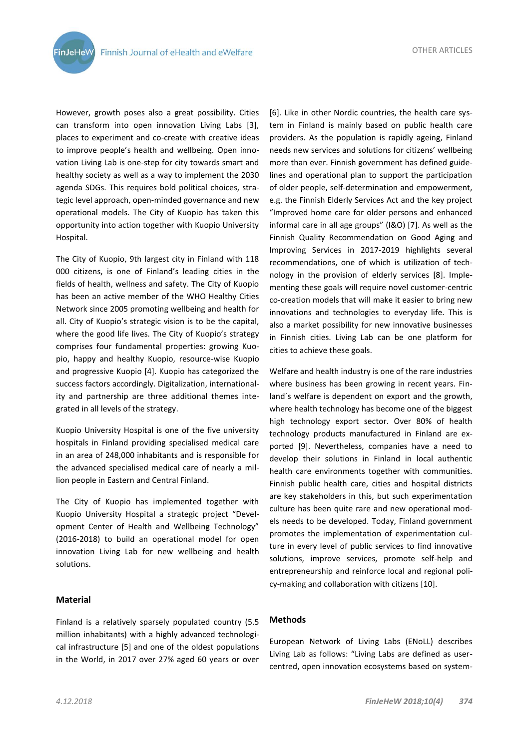**FinJeHeW** 

OTHER ARTICLES

However, growth poses also a great possibility. Cities can transform into open innovation Living Labs [3], places to experiment and co-create with creative ideas to improve people's health and wellbeing. Open innovation Living Lab is one-step for city towards smart and healthy society as well as a way to implement the 2030 agenda SDGs. This requires bold political choices, strategic level approach, open-minded governance and new operational models. The City of Kuopio has taken this opportunity into action together with Kuopio University Hospital.

The City of Kuopio, 9th largest city in Finland with 118 000 citizens, is one of Finland's leading cities in the fields of health, wellness and safety. The City of Kuopio has been an active member of the WHO Healthy Cities Network since 2005 promoting wellbeing and health for all. City of Kuopio's strategic vision is to be the capital, where the good life lives. The City of Kuopio's strategy comprises four fundamental properties: growing Kuopio, happy and healthy Kuopio, resource-wise Kuopio and progressive Kuopio [4]. Kuopio has categorized the success factors accordingly. Digitalization, internationality and partnership are three additional themes integrated in all levels of the strategy.

Kuopio University Hospital is one of the five university hospitals in Finland providing specialised medical care in an area of 248,000 inhabitants and is responsible for the advanced specialised medical care of nearly a million people in Eastern and Central Finland.

The City of Kuopio has implemented together with Kuopio University Hospital a strategic project "Development Center of Health and Wellbeing Technology" (2016-2018) to build an operational model for open innovation Living Lab for new wellbeing and health solutions.

## **Material**

Finland is a relatively sparsely populated country (5.5 million inhabitants) with a highly advanced technological infrastructure [5] and one of the oldest populations in the World, in 2017 over 27% aged 60 years or over

[6]. Like in other Nordic countries, the health care system in Finland is mainly based on public health care providers. As the population is rapidly ageing, Finland needs new services and solutions for citizens' wellbeing more than ever. Finnish government has defined guidelines and operational plan to support the participation of older people, self-determination and empowerment, e.g. the Finnish Elderly Services Act and the key project "Improved home care for older persons and enhanced informal care in all age groups" (I&O) [7]. As well as the Finnish Quality Recommendation on Good Aging and Improving Services in 2017-2019 highlights several recommendations, one of which is utilization of technology in the provision of elderly services [8]. Implementing these goals will require novel customer-centric co-creation models that will make it easier to bring new innovations and technologies to everyday life. This is also a market possibility for new innovative businesses in Finnish cities. Living Lab can be one platform for cities to achieve these goals.

Welfare and health industry is one of the rare industries where business has been growing in recent years. Finland´s welfare is dependent on export and the growth, where health technology has become one of the biggest high technology export sector. Over 80% of health technology products manufactured in Finland are exported [9]. Nevertheless, companies have a need to develop their solutions in Finland in local authentic health care environments together with communities. Finnish public health care, cities and hospital districts are key stakeholders in this, but such experimentation culture has been quite rare and new operational models needs to be developed. Today, Finland government promotes the implementation of experimentation culture in every level of public services to find innovative solutions, improve services, promote self-help and entrepreneurship and reinforce local and regional policy-making and collaboration with citizens [10].

## **Methods**

European Network of Living Labs (ENoLL) describes Living Lab as follows: "Living Labs are defined as usercentred, open innovation ecosystems based on system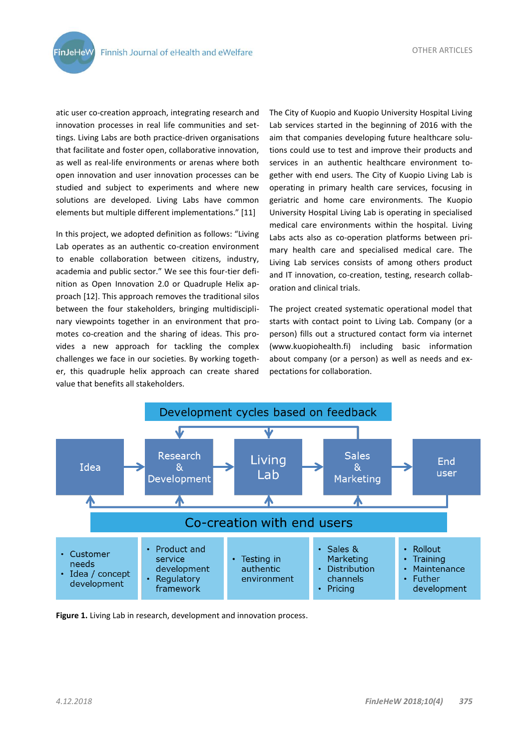**FinJeHeW** 

atic user co-creation approach, integrating research and innovation processes in real life communities and settings. Living Labs are both practice-driven organisations that facilitate and foster open, collaborative innovation, as well as real-life environments or arenas where both open innovation and user innovation processes can be studied and subject to experiments and where new solutions are developed. Living Labs have common elements but multiple different implementations." [11]

In this project, we adopted definition as follows: "Living Lab operates as an authentic co-creation environment to enable collaboration between citizens, industry, academia and public sector." We see this four-tier definition as Open Innovation 2.0 or Quadruple Helix approach [12]. This approach removes the traditional silos between the four stakeholders, bringing multidisciplinary viewpoints together in an environment that promotes co-creation and the sharing of ideas. This provides a new approach for tackling the complex challenges we face in our societies. By working together, this quadruple helix approach can create shared value that benefits all stakeholders.

The City of Kuopio and Kuopio University Hospital Living Lab services started in the beginning of 2016 with the aim that companies developing future healthcare solutions could use to test and improve their products and services in an authentic healthcare environment together with end users. The City of Kuopio Living Lab is operating in primary health care services, focusing in geriatric and home care environments. The Kuopio University Hospital Living Lab is operating in specialised medical care environments within the hospital. Living Labs acts also as co-operation platforms between primary health care and specialised medical care. The Living Lab services consists of among others product and IT innovation, co-creation, testing, research collaboration and clinical trials.

The project created systematic operational model that starts with contact point to Living Lab. Company (or a person) fills out a structured contact form via internet (www.kuopiohealth.fi) including basic information about company (or a person) as well as needs and expectations for collaboration.



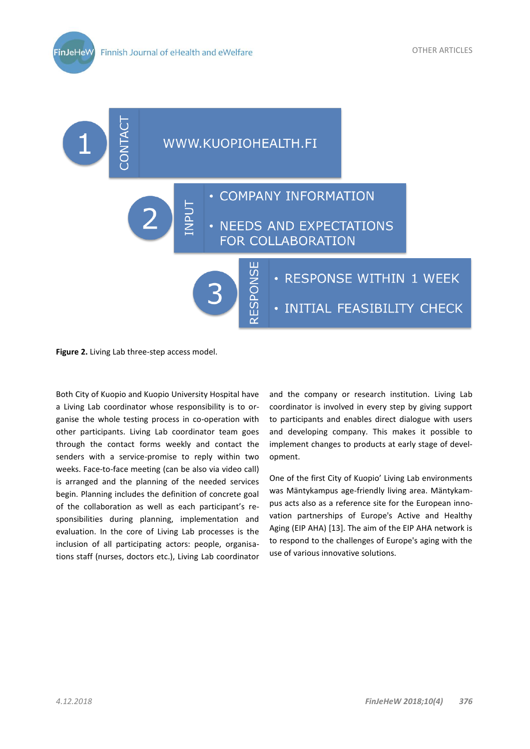

**Figure 2.** Living Lab three-step access model.

Both City of Kuopio and Kuopio University Hospital have a Living Lab coordinator whose responsibility is to organise the whole testing process in co-operation with other participants. Living Lab coordinator team goes through the contact forms weekly and contact the senders with a service-promise to reply within two weeks. Face-to-face meeting (can be also via video call) is arranged and the planning of the needed services begin. Planning includes the definition of concrete goal of the collaboration as well as each participant's responsibilities during planning, implementation and evaluation. In the core of Living Lab processes is the inclusion of all participating actors: people, organisations staff (nurses, doctors etc.), Living Lab coordinator

and the company or research institution. Living Lab coordinator is involved in every step by giving support to participants and enables direct dialogue with users and developing company. This makes it possible to implement changes to products at early stage of development.

One of the first City of Kuopio' Living Lab environments was Mäntykampus age-friendly living area. Mäntykampus acts also as a reference site for the European innovation partnerships of Europe's Active and Healthy Aging (EIP AHA) [13]. The aim of the EIP AHA network is to respond to the challenges of Europe's aging with the use of various innovative solutions.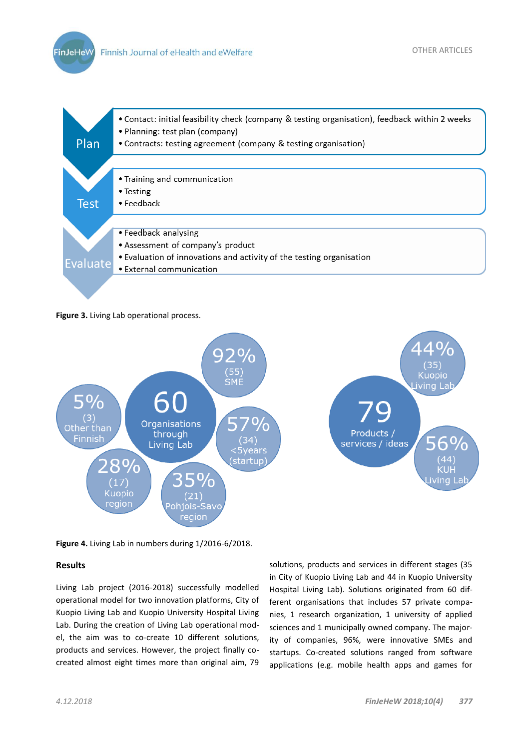**FinJeHeW** 



**Figure 3.** Living Lab operational process.



**Figure 4.** Living Lab in numbers during 1/2016-6/2018.

## **Results**

Living Lab project (2016-2018) successfully modelled operational model for two innovation platforms, City of Kuopio Living Lab and Kuopio University Hospital Living Lab. During the creation of Living Lab operational model, the aim was to co-create 10 different solutions, products and services. However, the project finally cocreated almost eight times more than original aim, 79

solutions, products and services in different stages (35 in City of Kuopio Living Lab and 44 in Kuopio University Hospital Living Lab). Solutions originated from 60 different organisations that includes 57 private companies, 1 research organization, 1 university of applied sciences and 1 municipally owned company. The majority of companies, 96%, were innovative SMEs and startups. Co-created solutions ranged from software applications (e.g. mobile health apps and games for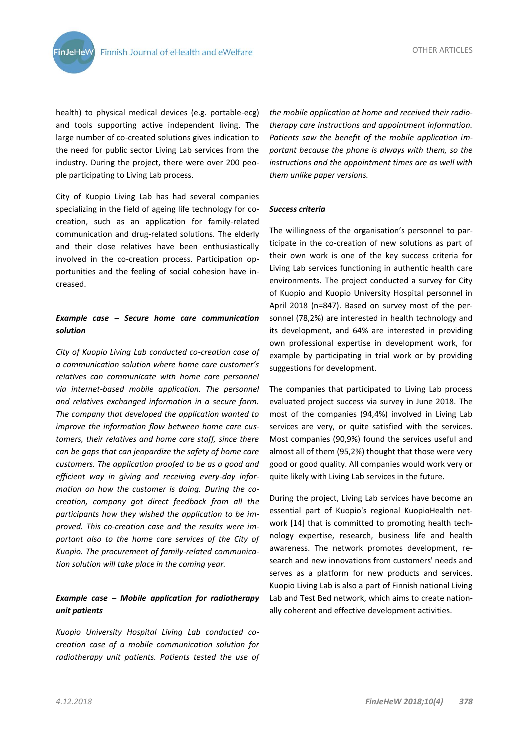

health) to physical medical devices (e.g. portable-ecg) and tools supporting active independent living. The large number of co-created solutions gives indication to the need for public sector Living Lab services from the industry. During the project, there were over 200 people participating to Living Lab process.

City of Kuopio Living Lab has had several companies specializing in the field of ageing life technology for cocreation, such as an application for family-related communication and drug-related solutions. The elderly and their close relatives have been enthusiastically involved in the co-creation process. Participation opportunities and the feeling of social cohesion have increased.

## *Example case – Secure home care communication solution*

*City of Kuopio Living Lab conducted co-creation case of a communication solution where home care customer's relatives can communicate with home care personnel via internet-based mobile application. The personnel and relatives exchanged information in a secure form. The company that developed the application wanted to improve the information flow between home care customers, their relatives and home care staff, since there can be gaps that can jeopardize the safety of home care customers. The application proofed to be as a good and efficient way in giving and receiving every-day information on how the customer is doing. During the cocreation, company got direct feedback from all the participants how they wished the application to be improved. This co-creation case and the results were important also to the home care services of the City of Kuopio. The procurement of family-related communication solution will take place in the coming year.*

# *Example case – Mobile application for radiotherapy unit patients*

*Kuopio University Hospital Living Lab conducted cocreation case of a mobile communication solution for radiotherapy unit patients. Patients tested the use of*  *the mobile application at home and received their radiotherapy care instructions and appointment information. Patients saw the benefit of the mobile application important because the phone is always with them, so the instructions and the appointment times are as well with them unlike paper versions.*

#### *Success criteria*

The willingness of the organisation's personnel to participate in the co-creation of new solutions as part of their own work is one of the key success criteria for Living Lab services functioning in authentic health care environments. The project conducted a survey for City of Kuopio and Kuopio University Hospital personnel in April 2018 (n=847). Based on survey most of the personnel (78,2%) are interested in health technology and its development, and 64% are interested in providing own professional expertise in development work, for example by participating in trial work or by providing suggestions for development.

The companies that participated to Living Lab process evaluated project success via survey in June 2018. The most of the companies (94,4%) involved in Living Lab services are very, or quite satisfied with the services. Most companies (90,9%) found the services useful and almost all of them (95,2%) thought that those were very good or good quality. All companies would work very or quite likely with Living Lab services in the future.

During the project, Living Lab services have become an essential part of Kuopio's regional KuopioHealth network [14] that is committed to promoting health technology expertise, research, business life and health awareness. The network promotes development, research and new innovations from customers' needs and serves as a platform for new products and services. Kuopio Living Lab is also a part of Finnish national Living Lab and Test Bed network, which aims to create nationally coherent and effective development activities.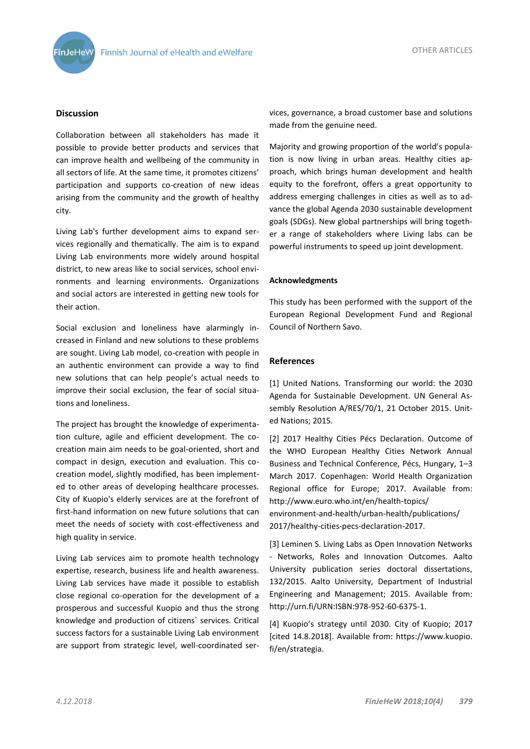

## **Discussion**

Collaboration between all stakeholders has made it possible to provide better products and services that can improve health and wellbeing of the community in all sectors of life. At the same time, it promotes citizens' participation and supports co-creation of new ideas arising from the community and the growth of healthy city.

Living Lab's further development aims to expand services regionally and thematically. The aim is to expand Living Lab environments more widely around hospital district, to new areas like to social services, school environments and learning environments. Organizations and social actors are interested in getting new tools for their action.

Social exclusion and loneliness have alarmingly increased in Finland and new solutions to these problems are sought. Living Lab model, co-creation with people in an authentic environment can provide a way to find new solutions that can help people's actual needs to improve their social exclusion, the fear of social situations and loneliness.

The project has brought the knowledge of experimentation culture, agile and efficient development. The cocreation main aim needs to be goal-oriented, short and compact in design, execution and evaluation. This cocreation model, slightly modified, has been implemented to other areas of developing healthcare processes. City of Kuopio's elderly services are at the forefront of first-hand information on new future solutions that can meet the needs of society with cost-effectiveness and high quality in service.

Living Lab services aim to promote health technology expertise, research, business life and health awareness. Living Lab services have made it possible to establish close regional co-operation for the development of a prosperous and successful Kuopio and thus the strong knowledge and production of citizens´ services. Critical success factors for a sustainable Living Lab environment are support from strategic level, well-coordinated services, governance, a broad customer base and solutions made from the genuine need.

Majority and growing proportion of the world's population is now living in urban areas. Healthy cities approach, which brings human development and health equity to the forefront, offers a great opportunity to address emerging challenges in cities as well as to advance the global Agenda 2030 sustainable development goals (SDGs). New global partnerships will bring together a range of stakeholders where Living labs can be powerful instruments to speed up joint development.

## **Acknowledgments**

This study has been performed with the support of the European Regional Development Fund and Regional Council of Northern Savo.

#### **References**

[1] United Nations. Transforming our world: the 2030 Agenda for Sustainable Development. UN General Assembly Resolution A/RES/70/1, 21 October 2015. United Nations; 2015.

[2] 2017 Healthy Cities Pécs Declaration. Outcome of the WHO European Healthy Cities Network Annual Business and Technical Conference, Pécs, Hungary, 1–3 March 2017. Copenhagen: World Health Organization Regional office for Europe; 2017. Available from: http://www.euro.who.int/en/health-topics/ environment-and-health/urban-health/publications/ 2017/healthy-cities-pecs-declaration-2017.

[3] Leminen S. Living Labs as Open Innovation Networks - Networks, Roles and Innovation Outcomes. Aalto University publication series doctoral dissertations, 132/2015. Aalto University, Department of Industrial Engineering and Management; 2015. Available from: http://urn.fi/URN:ISBN:978-952-60-6375-1.

[4] Kuopio's strategy until 2030. City of Kuopio; 2017 [cited 14.8.2018]. Available from: https://www.kuopio. fi/en/strategia.